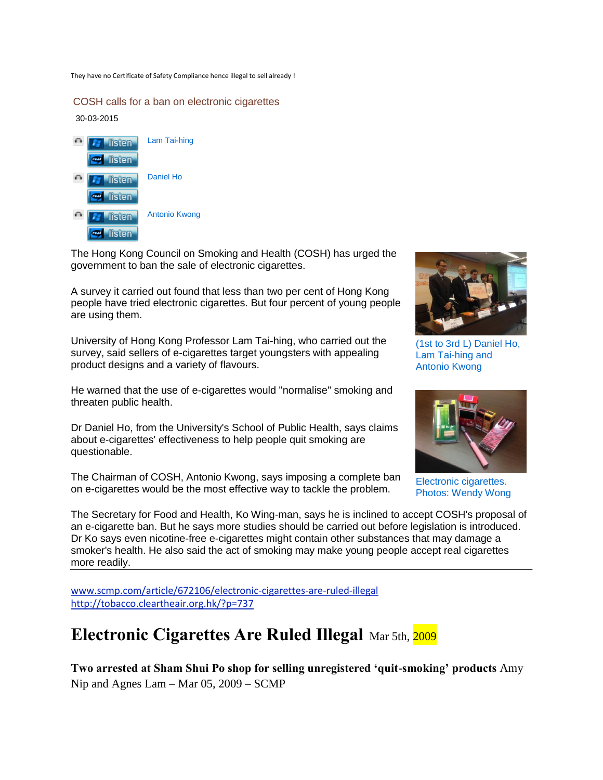They have no Certificate of Safety Compliance hence illegal to sell already !

COSH calls for a ban on electronic cigarettes

30-03-2015



The Hong Kong Council on Smoking and Health (COSH) has urged the government to ban the sale of electronic cigarettes.

A survey it carried out found that less than two per cent of Hong Kong people have tried electronic cigarettes. But four percent of young people are using them.

University of Hong Kong Professor Lam Tai-hing, who carried out the survey, said sellers of e-cigarettes target youngsters with appealing product designs and a variety of flavours.

He warned that the use of e-cigarettes would "normalise" smoking and threaten public health.

Dr Daniel Ho, from the University's School of Public Health, says claims about e-cigarettes' effectiveness to help people quit smoking are questionable.

The Chairman of COSH, Antonio Kwong, says imposing a complete ban on e-cigarettes would be the most effective way to tackle the problem.



(1st to 3rd L) Daniel Ho, Lam Tai-hing and Antonio Kwong



Electronic cigarettes. Photos: Wendy Wong

The Secretary for Food and Health, Ko Wing-man, says he is inclined to accept COSH's proposal of an e-cigarette ban. But he says more studies should be carried out before legislation is introduced. Dr Ko says even nicotine-free e-cigarettes might contain other substances that may damage a smoker's health. He also said the act of smoking may make young people accept real cigarettes more readily.

[www.scmp.com/article/672106/electronic-cigarettes-are-ruled-illegal](http://www.scmp.com/article/672106/electronic-cigarettes-are-ruled-illegal)  <http://tobacco.cleartheair.org.hk/?p=737>

## **Electronic Cigarettes Are Ruled Illegal** Mar 5th, 2009

**Two arrested at Sham Shui Po shop for selling unregistered 'quit-smoking' products** Amy Nip and Agnes Lam – Mar 05, 2009 – SCMP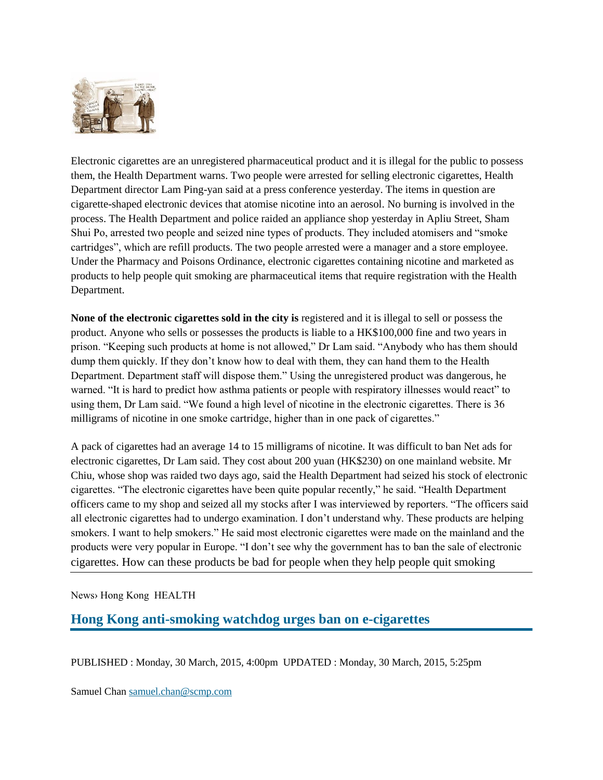

Electronic cigarettes are an unregistered pharmaceutical product and it is illegal for the public to possess them, the Health Department warns. Two people were arrested for selling electronic cigarettes, Health Department director Lam Ping-yan said at a press conference yesterday. The items in question are cigarette-shaped electronic devices that atomise nicotine into an aerosol. No burning is involved in the process. The Health Department and police raided an appliance shop yesterday in Apliu Street, Sham Shui Po, arrested two people and seized nine types of products. They included atomisers and "smoke cartridges", which are refill products. The two people arrested were a manager and a store employee. Under the Pharmacy and Poisons Ordinance, electronic cigarettes containing nicotine and marketed as products to help people quit smoking are pharmaceutical items that require registration with the Health Department.

**None of the electronic cigarettes sold in the city is** registered and it is illegal to sell or possess the product. Anyone who sells or possesses the products is liable to a HK\$100,000 fine and two years in prison. "Keeping such products at home is not allowed," Dr Lam said. "Anybody who has them should dump them quickly. If they don't know how to deal with them, they can hand them to the Health Department. Department staff will dispose them." Using the unregistered product was dangerous, he warned. "It is hard to predict how asthma patients or people with respiratory illnesses would react" to using them, Dr Lam said. "We found a high level of nicotine in the electronic cigarettes. There is 36 milligrams of nicotine in one smoke cartridge, higher than in one pack of cigarettes."

A pack of cigarettes had an average 14 to 15 milligrams of nicotine. It was difficult to ban Net ads for electronic cigarettes, Dr Lam said. They cost about 200 yuan (HK\$230) on one mainland website. Mr Chiu, whose shop was raided two days ago, said the Health Department had seized his stock of electronic cigarettes. "The electronic cigarettes have been quite popular recently," he said. "Health Department officers came to my shop and seized all my stocks after I was interviewed by reporters. "The officers said all electronic cigarettes had to undergo examination. I don't understand why. These products are helping smokers. I want to help smokers." He said most electronic cigarettes were made on the mainland and the products were very popular in Europe. "I don't see why the government has to ban the sale of electronic cigarettes. How can these products be bad for people when they help people quit smoking

News› Hong Kong HEALTH

**Hong Kong anti-smoking watchdog urges ban on e-cigarettes**

PUBLISHED : Monday, 30 March, 2015, 4:00pm UPDATED : Monday, 30 March, 2015, 5:25pm

Samuel Chan [samuel.chan@scmp.com](mailto:samuel.chan@scmp.com)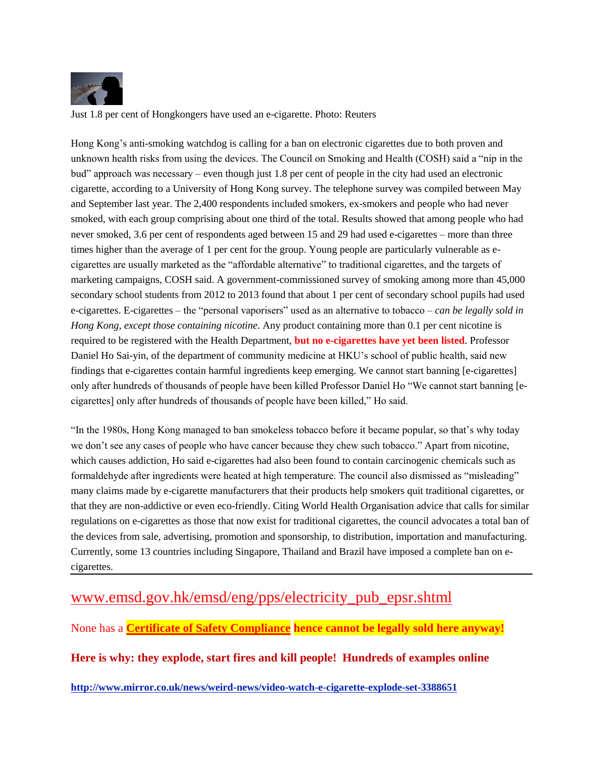

Just 1.8 per cent of Hongkongers have used an e-cigarette. Photo: Reuters

Hong Kong's anti-smoking watchdog is calling for a ban on electronic cigarettes due to both proven and unknown health risks from using the devices. The Council on Smoking and Health (COSH) said a "nip in the bud" approach was necessary – even though just 1.8 per cent of people in the city had used an electronic cigarette, according to a University of Hong Kong survey. The telephone survey was compiled between May and September last year. The 2,400 respondents included smokers, ex-smokers and people who had never smoked, with each group comprising about one third of the total. Results showed that among people who had never smoked, 3.6 per cent of respondents aged between 15 and 29 had used e-cigarettes – more than three times higher than the average of 1 per cent for the group. Young people are particularly vulnerable as ecigarettes are usually marketed as the "affordable alternative" to traditional cigarettes, and the targets of marketing campaigns, COSH said. A government-commissioned survey of smoking among more than 45,000 secondary school students from 2012 to 2013 found that about 1 per cent of secondary school pupils had used e-cigarettes. E-cigarettes – the "personal vaporisers" used as an alternative to tobacco – *can be legally sold in Hong Kong, except those containing nicotine*. Any product containing more than 0.1 per cent nicotine is required to be registered with the Health Department, **but no e-cigarettes have yet been listed**. Professor Daniel Ho Sai-yin, of the department of community medicine at HKU's school of public health, said new findings that e-cigarettes contain harmful ingredients keep emerging. We cannot start banning [e-cigarettes] only after hundreds of thousands of people have been killed Professor Daniel Ho "We cannot start banning [ecigarettes] only after hundreds of thousands of people have been killed," Ho said.

"In the 1980s, Hong Kong managed to ban smokeless tobacco before it became popular, so that's why today we don't see any cases of people who have cancer because they chew such tobacco." Apart from nicotine, which causes addiction, Ho said e-cigarettes had also been found to contain carcinogenic chemicals such as formaldehyde after ingredients were heated at high temperature. The council also dismissed as "misleading" many claims made by e-cigarette manufacturers that their products help smokers quit traditional cigarettes, or that they are non-addictive or even eco-friendly. Citing World Health Organisation advice that calls for similar regulations on e-cigarettes as those that now exist for traditional cigarettes, the council advocates a total ban of the devices from sale, advertising, promotion and sponsorship, to distribution, importation and manufacturing. Currently, some 13 countries including Singapore, Thailand and Brazil have imposed a complete ban on ecigarettes.

## [www.emsd.gov.hk/emsd/eng/pps/electricity\\_pub\\_epsr.shtml](http://www.emsd.gov.hk/emsd/eng/pps/electricity_pub_epsr.shtml)

None has a **Certificate of Safety Compliance hence cannot be legally sold here anyway!**

**Here is why: they explode, start fires and kill people! Hundreds of examples online**

**<http://www.mirror.co.uk/news/weird-news/video-watch-e-cigarette-explode-set-3388651>**